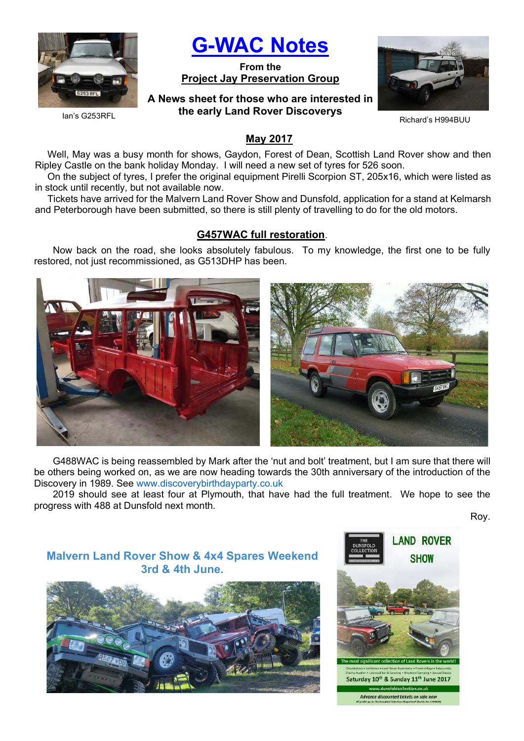

G-WAC Notes

From the Project Jay Preservation Group

A News sheet for those who are interested in the early Land Rover Discoverys



Richard's H994BUU

Ian's G253RFL

## May 2017

Well, May was a busy month for shows, Gaydon, Forest of Dean, Scottish Land Rover show and then Ripley Castle on the bank holiday Monday. I will need a new set of tyres for 526 soon.

On the subject of tyres, I prefer the original equipment Pirelli Scorpion ST, 205x16, which were listed as in stock until recently, but not available now.

Tickets have arrived for the Malvern Land Rover Show and Dunsfold, application for a stand at Kelmarsh and Peterborough have been submitted, so there is still plenty of travelling to do for the old motors.

## G457WAC full restoration.

Now back on the road, she looks absolutely fabulous. To my knowledge, the first one to be fully restored, not just recommissioned, as G513DHP has been.



G488WAC is being reassembled by Mark after the 'nut and bolt' treatment, but I am sure that there will be others being worked on, as we are now heading towards the 30th anniversary of the introduction of the Discovery in 1989. See www.discoverybirthdayparty.co.uk

2019 should see at least four at Plymouth, that have had the full treatment. We hope to see the progress with 488 at Dunsfold next month.

Roy.

# Malvern Land Rover Show & 4x4 Spares Weekend 3rd & 4th June.



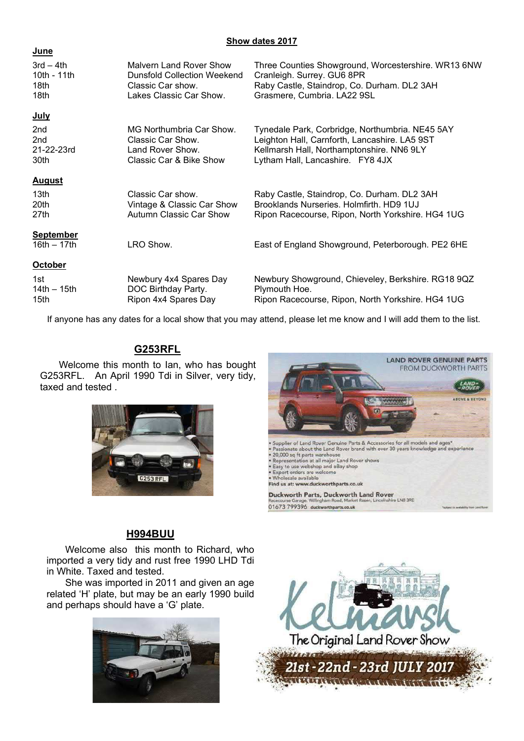### Show dates 2017

#### **June**

| $3rd - 4th$                       | <b>Malvern Land Rover Show</b> | Three Counties Showground, Worcestershire. WR13 6NW |
|-----------------------------------|--------------------------------|-----------------------------------------------------|
| 10th - 11th                       | Dunsfold Collection Weekend    | Cranleigh. Surrey. GU6 8PR                          |
| 18th                              | Classic Car show.              | Raby Castle, Staindrop, Co. Durham. DL2 3AH         |
| 18th                              | Lakes Classic Car Show.        | Grasmere, Cumbria. LA22 9SL                         |
| <u>July</u>                       |                                |                                                     |
| 2 <sub>nd</sub>                   | MG Northumbria Car Show.       | Tynedale Park, Corbridge, Northumbria. NE45 5AY     |
| 2 <sub>nd</sub>                   | Classic Car Show.              | Leighton Hall, Carnforth, Lancashire. LA5 9ST       |
| 21-22-23rd                        | Land Rover Show.               | Kellmarsh Hall, Northamptonshire. NN6 9LY           |
| 30th                              | Classic Car & Bike Show        | Lytham Hall, Lancashire. FY8 4JX                    |
| <b>August</b>                     |                                |                                                     |
| 13 <sub>th</sub>                  | Classic Car show.              | Raby Castle, Staindrop, Co. Durham. DL2 3AH         |
| 20th                              | Vintage & Classic Car Show     | Brooklands Nurseries, Holmfirth, HD9 1UJ            |
| 27th                              | Autumn Classic Car Show        | Ripon Racecourse, Ripon, North Yorkshire. HG4 1UG   |
| <b>September</b><br>16th $-17$ th | LRO Show.                      | East of England Showground, Peterborough. PE2 6HE   |
| <b>October</b>                    |                                |                                                     |
| 1st                               | Newbury 4x4 Spares Day         | Newbury Showground, Chieveley, Berkshire. RG18 9QZ  |
| $14th - 15th$                     | DOC Birthday Party.            | Plymouth Hoe.                                       |
| 15 <sub>th</sub>                  | Ripon 4x4 Spares Day           | Ripon Racecourse, Ripon, North Yorkshire. HG4 1UG   |

If anyone has any dates for a local show that you may attend, please let me know and I will add them to the list.

# G253RFL

Welcome this month to Ian, who has bought G253RFL. An April 1990 Tdi in Silver, very tidy, taxed and tested .



# H994BUU

Welcome also this month to Richard, who imported a very tidy and rust free 1990 LHD Tdi in White. Taxed and tested.

She was imported in 2011 and given an age related 'H' plate, but may be an early 1990 build and perhaps should have a 'G' plate.





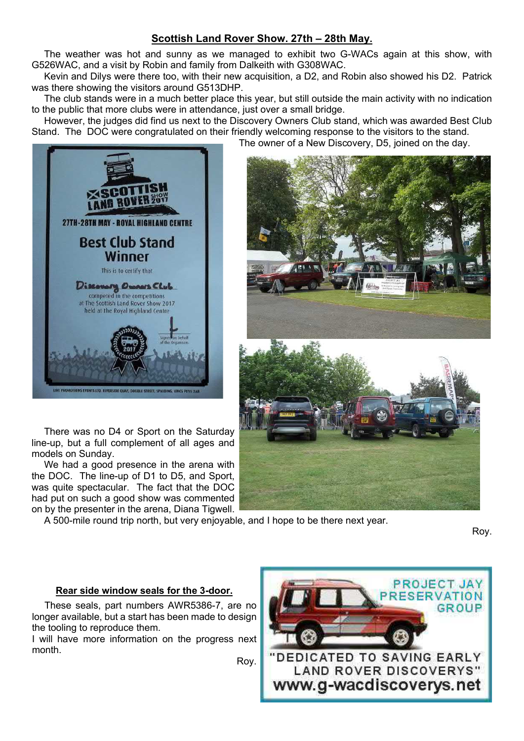# Scottish Land Rover Show. 27th – 28th May.

The weather was hot and sunny as we managed to exhibit two G-WACs again at this show, with G526WAC, and a visit by Robin and family from Dalkeith with G308WAC.

Kevin and Dilys were there too, with their new acquisition, a D2, and Robin also showed his D2. Patrick was there showing the visitors around G513DHP.

The club stands were in a much better place this year, but still outside the main activity with no indication to the public that more clubs were in attendance, just over a small bridge.

However, the judges did find us next to the Discovery Owners Club stand, which was awarded Best Club Stand. The DOC were congratulated on their friendly welcoming response to the visitors to the stand.

The owner of a New Discovery, D5, joined on the day.



There was no D4 or Sport on the Saturday line-up, but a full complement of all ages and models on Sunday.

We had a good presence in the arena with the DOC. The line-up of D1 to D5, and Sport, was quite spectacular. The fact that the DOC had put on such a good show was commented on by the presenter in the arena, Diana Tigwell.

A 500-mile round trip north, but very enjoyable, and I hope to be there next year.

Roy.

# Rear side window seals for the 3-door.

These seals, part numbers AWR5386-7, are no longer available, but a start has been made to design the tooling to reproduce them.

I will have more information on the progress next month.

Roy.